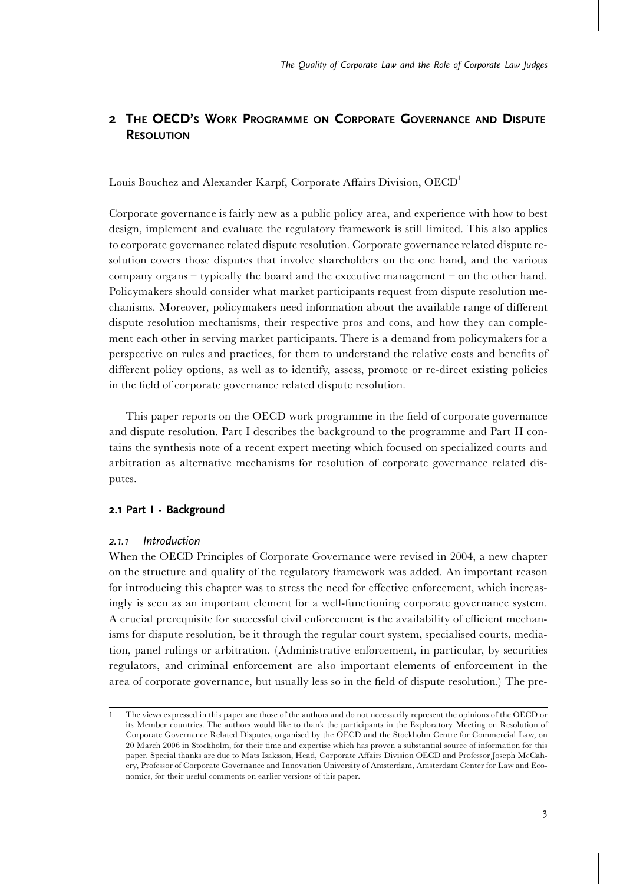# 2 THE OECD'S WORK PROGRAMME ON CORPORATE GOVERNANCE AND DISPUTE **RESOLUTION**

Louis Bouchez and Alexander Karpf, Corporate Affairs Division, OECD<sup>1</sup>

Corporate governance is fairly new as a public policy area, and experience with how to best design, implement and evaluate the regulatory framework is still limited. This also applies to corporate governance related dispute resolution. Corporate governance related dispute resolution covers those disputes that involve shareholders on the one hand, and the various company organs  $-$  typically the board and the executive management  $-$  on the other hand. Policymakers should consider what market participants request from dispute resolution mechanisms. Moreover, policymakers need information about the available range of different dispute resolution mechanisms, their respective pros and cons, and how they can complement each other in serving market participants. There is a demand from policymakers for a perspective on rules and practices, for them to understand the relative costs and benefits of different policy options, as well as to identify, assess, promote or re-direct existing policies in the field of corporate governance related dispute resolution.

This paper reports on the OECD work programme in the field of corporate governance and dispute resolution. Part I describes the background to the programme and Part II contains the synthesis note of a recent expert meeting which focused on specialized courts and arbitration as alternative mechanisms for resolution of corporate governance related disputes.

## 2.1 Part I - Background

## 2.1.1 Introduction

When the OECD Principles of Corporate Governance were revised in 2004, a new chapter on the structure and quality of the regulatory framework was added. An important reason for introducing this chapter was to stress the need for effective enforcement, which increasingly is seen as an important element for a well-functioning corporate governance system. A crucial prerequisite for successful civil enforcement is the availability of efficient mechanisms for dispute resolution, be it through the regular court system, specialised courts, mediation, panel rulings or arbitration. (Administrative enforcement, in particular, by securities regulators, and criminal enforcement are also important elements of enforcement in the area of corporate governance, but usually less so in the field of dispute resolution.) The pre-

<sup>1</sup> The views expressed in this paper are those of the authors and do not necessarily represent the opinions of the OECD or its Member countries. The authors would like to thank the participants in the Exploratory Meeting on Resolution of Corporate Governance Related Disputes, organised by the OECD and the Stockholm Centre for Commercial Law, on 20 March 2006 in Stockholm, for their time and expertise which has proven a substantial source of information for this paper. Special thanks are due to Mats Isaksson, Head, Corporate Affairs Division OECD and Professor Joseph McCahery, Professor of Corporate Governance and Innovation University of Amsterdam, Amsterdam Center for Law and Economics, for their useful comments on earlier versions of this paper.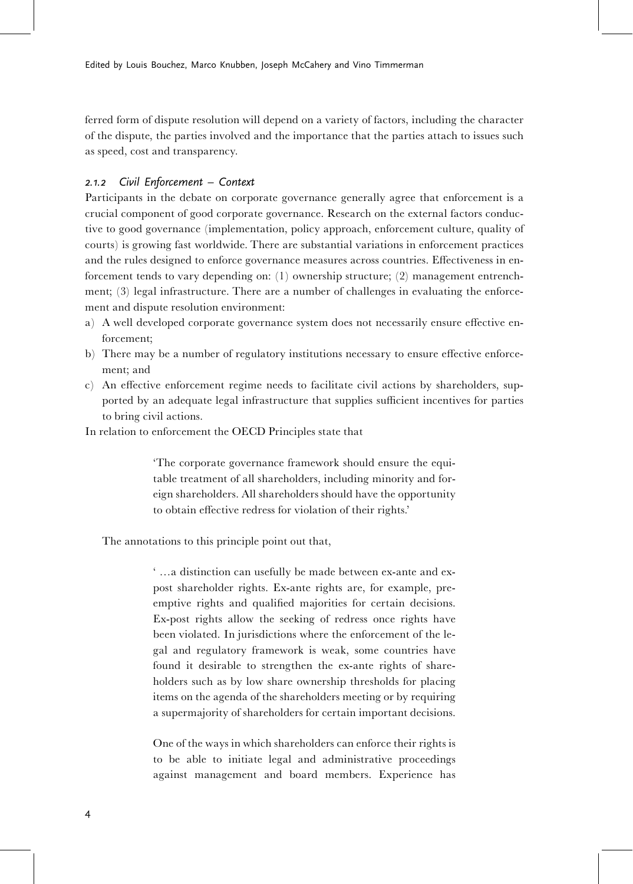ferred form of dispute resolution will depend on a variety of factors, including the character of the dispute, the parties involved and the importance that the parties attach to issues such as speed, cost and transparency.

# 2.1.2 Civil Enforcement - Context

Participants in the debate on corporate governance generally agree that enforcement is a crucial component of good corporate governance. Research on the external factors conductive to good governance (implementation, policy approach, enforcement culture, quality of courts) is growing fast worldwide. There are substantial variations in enforcement practices and the rules designed to enforce governance measures across countries. Effectiveness in enforcement tends to vary depending on: (1) ownership structure; (2) management entrenchment; (3) legal infrastructure. There are a number of challenges in evaluating the enforcement and dispute resolution environment:

- a) A well developed corporate governance system does not necessarily ensure effective enforcement;
- b) There may be a number of regulatory institutions necessary to ensure effective enforcement; and
- c) An effective enforcement regime needs to facilitate civil actions by shareholders, supported by an adequate legal infrastructure that supplies sufficient incentives for parties to bring civil actions.

In relation to enforcement the OECD Principles state that

'The corporate governance framework should ensure the equitable treatment of all shareholders, including minority and foreign shareholders. All shareholders should have the opportunity to obtain effective redress for violation of their rights.'

The annotations to this principle point out that,

' ...a distinction can usefully be made between ex-ante and expost shareholder rights. Ex-ante rights are, for example, preemptive rights and qualified majorities for certain decisions. Ex-post rights allow the seeking of redress once rights have been violated. In jurisdictions where the enforcement of the legal and regulatory framework is weak, some countries have found it desirable to strengthen the ex-ante rights of shareholders such as by low share ownership thresholds for placing items on the agenda of the shareholders meeting or by requiring a supermajority of shareholders for certain important decisions.

One of the ways in which shareholders can enforce their rights is to be able to initiate legal and administrative proceedings against management and board members. Experience has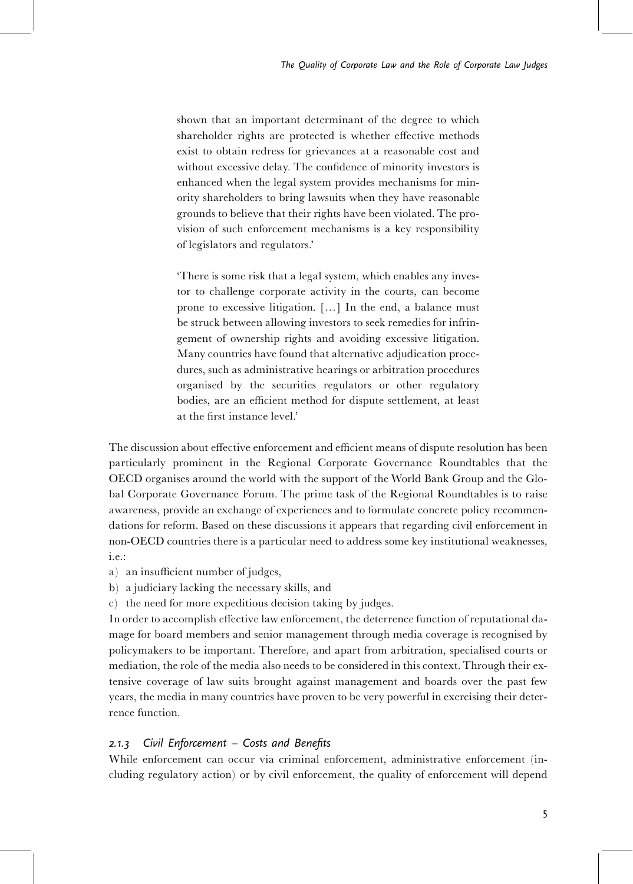shown that an important determinant of the degree to which shareholder rights are protected is whether effective methods exist to obtain redress for grievances at a reasonable cost and without excessive delay. The confidence of minority investors is enhanced when the legal system provides mechanisms for minority shareholders to bring lawsuits when they have reasonable grounds to believe that their rights have been violated. The provision of such enforcement mechanisms is a key responsibility of legislators and regulators.'

'There is some risk that a legal system, which enables any investor to challenge corporate activity in the courts, can become prone to excessive litigation. [...] In the end, a balance must be struck between allowing investors to seek remedies for infringement of ownership rights and avoiding excessive litigation. Many countries have found that alternative adjudication procedures, such as administrative hearings or arbitration procedures organised by the securities regulators or other regulatory bodies, are an efficient method for dispute settlement, at least at the first instance level'

The discussion about effective enforcement and efficient means of dispute resolution has been particularly prominent in the Regional Corporate Governance Roundtables that the OECD organises around the world with the support of the World Bank Group and the Global Corporate Governance Forum. The prime task of the Regional Roundtables is to raise awareness, provide an exchange of experiences and to formulate concrete policy recommendations for reform. Based on these discussions it appears that regarding civil enforcement in non-OECD countries there is a particular need to address some key institutional weaknesses, i.e.:

- a) an insufficient number of judges,
- b) a judiciary lacking the necessary skills, and
- c) the need for more expeditious decision taking by judges.

In order to accomplish effective law enforcement, the deterrence function of reputational damage for board members and senior management through media coverage is recognised by policymakers to be important. Therefore, and apart from arbitration, specialised courts or mediation, the role of the media also needs to be considered in this context. Through their extensive coverage of law suits brought against management and boards over the past few years, the media in many countries have proven to be very powerful in exercising their deterrence function.

# 2.1.3 Civil Enforcement  $-$  Costs and Benefits

While enforcement can occur via criminal enforcement, administrative enforcement (including regulatory action) or by civil enforcement, the quality of enforcement will depend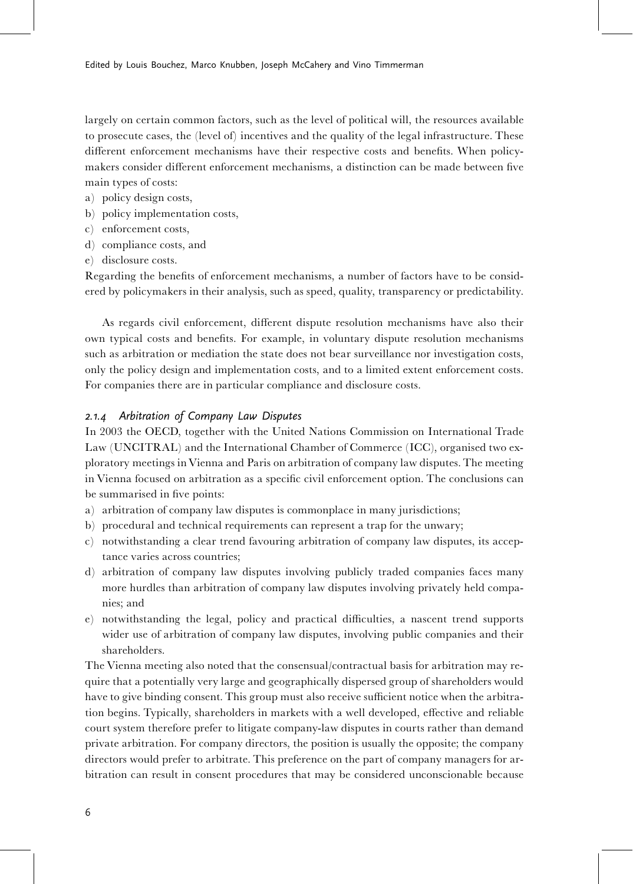largely on certain common factors, such as the level of political will, the resources available to prosecute cases, the (level of) incentives and the quality of the legal infrastructure. These different enforcement mechanisms have their respective costs and benefits. When policymakers consider different enforcement mechanisms, a distinction can be made between five main types of costs:

- a) policy design costs,
- b) policy implementation costs,
- c) enforcement costs,
- d) compliance costs, and
- e) disclosure costs.

Regarding the benefits of enforcement mechanisms, a number of factors have to be considered by policymakers in their analysis, such as speed, quality, transparency or predictability.

As regards civil enforcement, different dispute resolution mechanisms have also their own typical costs and bene¢ts. For example, in voluntary dispute resolution mechanisms such as arbitration or mediation the state does not bear surveillance nor investigation costs, only the policy design and implementation costs, and to a limited extent enforcement costs. For companies there are in particular compliance and disclosure costs.

# 2.1.4 Arbitration of Company Law Disputes

In 2003 the OECD, together with the United Nations Commission on International Trade Law (UNCITRAL) and the International Chamber of Commerce (ICC), organised two exploratory meetings in Vienna and Paris on arbitration of company law disputes. The meeting in Vienna focused on arbitration as a specific civil enforcement option. The conclusions can be summarised in five points:

- a) arbitration of company law disputes is commonplace in many jurisdictions;
- b) procedural and technical requirements can represent a trap for the unwary;
- c) notwithstanding a clear trend favouring arbitration of company law disputes, its acceptance varies across countries;
- d) arbitration of company law disputes involving publicly traded companies faces many more hurdles than arbitration of company law disputes involving privately held companies; and
- e) notwithstanding the legal, policy and practical difficulties, a nascent trend supports wider use of arbitration of company law disputes, involving public companies and their shareholders.

The Vienna meeting also noted that the consensual/contractual basis for arbitration may require that a potentially very large and geographically dispersed group of shareholders would have to give binding consent. This group must also receive sufficient notice when the arbitration begins. Typically, shareholders in markets with a well developed, effective and reliable court system therefore prefer to litigate company-law disputes in courts rather than demand private arbitration. For company directors, the position is usually the opposite; the company directors would prefer to arbitrate. This preference on the part of company managers for arbitration can result in consent procedures that may be considered unconscionable because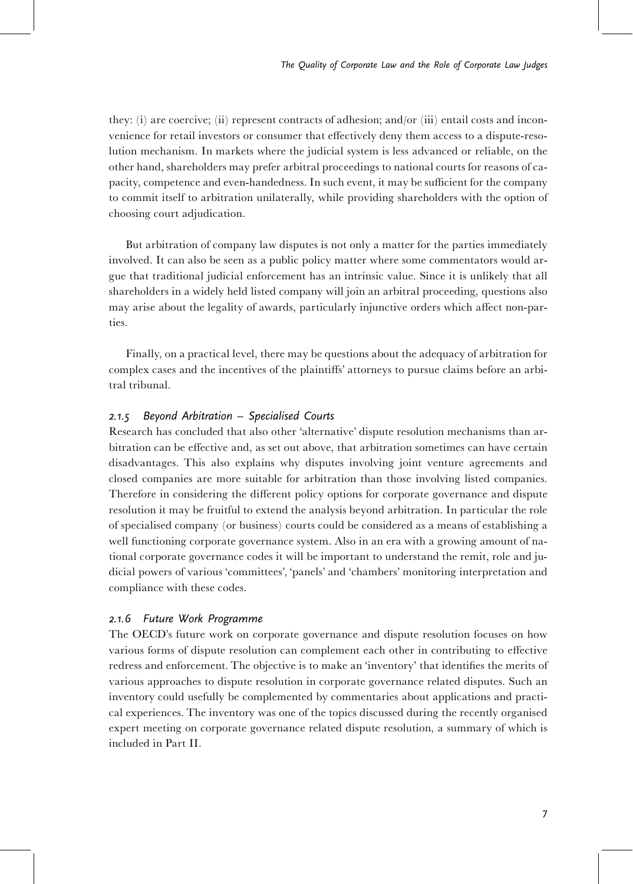they: (i) are coercive; (ii) represent contracts of adhesion; and/or (iii) entail costs and inconvenience for retail investors or consumer that effectively deny them access to a dispute-resolution mechanism. In markets where the judicial system is less advanced or reliable, on the other hand, shareholders may prefer arbitral proceedings to national courts for reasons of capacity, competence and even-handedness. In such event, it may be sufficient for the company to commit itself to arbitration unilaterally, while providing shareholders with the option of choosing court adjudication.

But arbitration of company law disputes is not only a matter for the parties immediately involved. It can also be seen as a public policy matter where some commentators would argue that traditional judicial enforcement has an intrinsic value. Since it is unlikely that all shareholders in a widely held listed company will join an arbitral proceeding, questions also may arise about the legality of awards, particularly injunctive orders which affect non-parties.

Finally, on a practical level, there may be questions about the adequacy of arbitration for complex cases and the incentives of the plaintiffs' attorneys to pursue claims before an arbitral tribunal.

# 2.1.5 Beyond Arbitration  $-$  Specialised Courts

Research has concluded that also other 'alternative' dispute resolution mechanisms than arbitration can be effective and, as set out above, that arbitration sometimes can have certain disadvantages. This also explains why disputes involving joint venture agreements and closed companies are more suitable for arbitration than those involving listed companies. Therefore in considering the different policy options for corporate governance and dispute resolution it may be fruitful to extend the analysis beyond arbitration. In particular the role of specialised company (or business) courts could be considered as a means of establishing a well functioning corporate governance system. Also in an era with a growing amount of national corporate governance codes it will be important to understand the remit, role and judicial powers of various 'committees', 'panels' and 'chambers' monitoring interpretation and compliance with these codes.

#### 2.1.6 Future Work Programme

The OECD's future work on corporate governance and dispute resolution focuses on how various forms of dispute resolution can complement each other in contributing to effective redress and enforcement. The objective is to make an 'inventory' that identifies the merits of various approaches to dispute resolution in corporate governance related disputes. Such an inventory could usefully be complemented by commentaries about applications and practical experiences. The inventory was one of the topics discussed during the recently organised expert meeting on corporate governance related dispute resolution, a summary of which is included in Part II.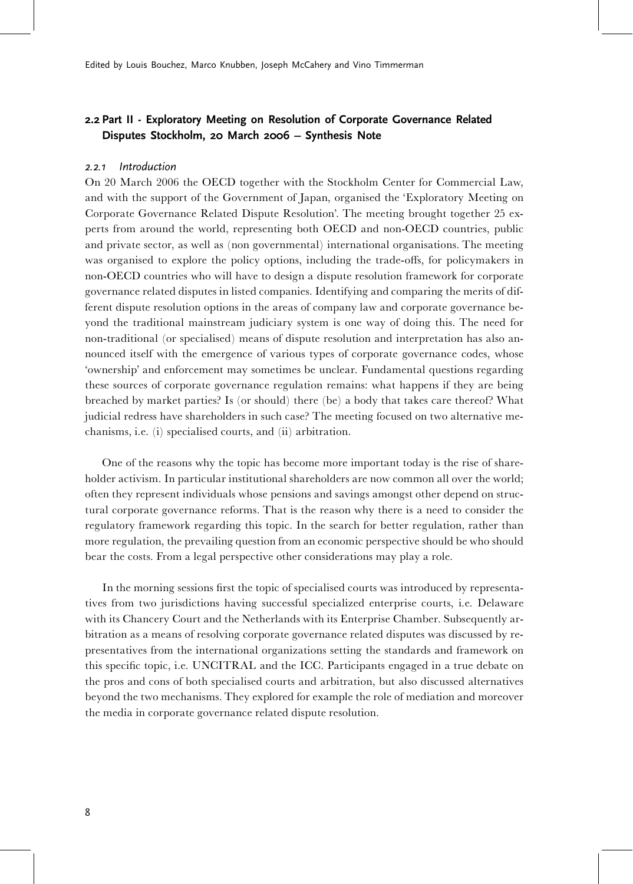# 2.2 Part II - Exploratory Meeting on Resolution of Corporate Governance Related Disputes Stockholm, 20 March 2006 - Synthesis Note

## 2.2.1 Introduction

On 20 March 2006 the OECD together with the Stockholm Center for Commercial Law, and with the support of the Government of Japan, organised the 'Exploratory Meeting on Corporate Governance Related Dispute Resolution'. The meeting brought together 25 experts from around the world, representing both OECD and non-OECD countries, public and private sector, as well as (non governmental) international organisations. The meeting was organised to explore the policy options, including the trade-offs, for policymakers in non-OECD countries who will have to design a dispute resolution framework for corporate governance related disputes in listed companies. Identifying and comparing the merits of different dispute resolution options in the areas of company law and corporate governance beyond the traditional mainstream judiciary system is one way of doing this. The need for non-traditional (or specialised) means of dispute resolution and interpretation has also announced itself with the emergence of various types of corporate governance codes, whose 'ownership' and enforcement may sometimes be unclear. Fundamental questions regarding these sources of corporate governance regulation remains: what happens if they are being breached by market parties? Is (or should) there (be) a body that takes care thereof? What judicial redress have shareholders in such case? The meeting focused on two alternative mechanisms, i.e. (i) specialised courts, and (ii) arbitration.

One of the reasons why the topic has become more important today is the rise of shareholder activism. In particular institutional shareholders are now common all over the world; often they represent individuals whose pensions and savings amongst other depend on structural corporate governance reforms. That is the reason why there is a need to consider the regulatory framework regarding this topic. In the search for better regulation, rather than more regulation, the prevailing question from an economic perspective should be who should bear the costs. From a legal perspective other considerations may play a role.

In the morning sessions first the topic of specialised courts was introduced by representatives from two jurisdictions having successful specialized enterprise courts, i.e. Delaware with its Chancery Court and the Netherlands with its Enterprise Chamber. Subsequently arbitration as a means of resolving corporate governance related disputes was discussed by representatives from the international organizations setting the standards and framework on this specific topic, i.e. UNCITRAL and the ICC. Participants engaged in a true debate on the pros and cons of both specialised courts and arbitration, but also discussed alternatives beyond the two mechanisms. They explored for example the role of mediation and moreover the media in corporate governance related dispute resolution.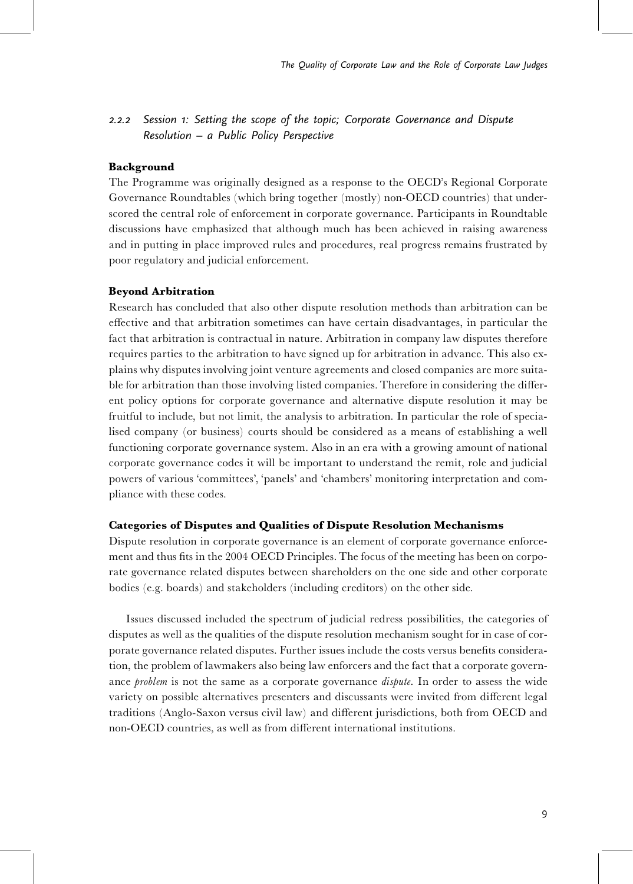# 2.2.2 Session 1: Setting the scope of the topic; Corporate Governance and Dispute  $Resolution - a$  Public Policy Perspective

## Background

The Programme was originally designed as a response to the OECD's Regional Corporate Governance Roundtables (which bring together (mostly) non-OECD countries) that underscored the central role of enforcement in corporate governance. Participants in Roundtable discussions have emphasized that although much has been achieved in raising awareness and in putting in place improved rules and procedures, real progress remains frustrated by poor regulatory and judicial enforcement.

#### Beyond Arbitration

Research has concluded that also other dispute resolution methods than arbitration can be effective and that arbitration sometimes can have certain disadvantages, in particular the fact that arbitration is contractual in nature. Arbitration in company law disputes therefore requires parties to the arbitration to have signed up for arbitration in advance. This also explains why disputes involving joint venture agreements and closed companies are more suitable for arbitration than those involving listed companies. Therefore in considering the different policy options for corporate governance and alternative dispute resolution it may be fruitful to include, but not limit, the analysis to arbitration. In particular the role of specialised company (or business) courts should be considered as a means of establishing a well functioning corporate governance system. Also in an era with a growing amount of national corporate governance codes it will be important to understand the remit, role and judicial powers of various 'committees', 'panels' and 'chambers' monitoring interpretation and compliance with these codes.

#### Categories of Disputes and Qualities of Dispute Resolution Mechanisms

Dispute resolution in corporate governance is an element of corporate governance enforcement and thus fits in the 2004 OECD Principles. The focus of the meeting has been on corporate governance related disputes between shareholders on the one side and other corporate bodies (e.g. boards) and stakeholders (including creditors) on the other side.

Issues discussed included the spectrum of judicial redress possibilities, the categories of disputes as well as the qualities of the dispute resolution mechanism sought for in case of corporate governance related disputes. Further issues include the costs versus bene¢ts consideration, the problem of lawmakers also being law enforcers and the fact that a corporate governance problem is not the same as a corporate governance *dispute*. In order to assess the wide variety on possible alternatives presenters and discussants were invited from different legal traditions (Anglo-Saxon versus civil law) and different jurisdictions, both from OECD and non-OECD countries, as well as from different international institutions.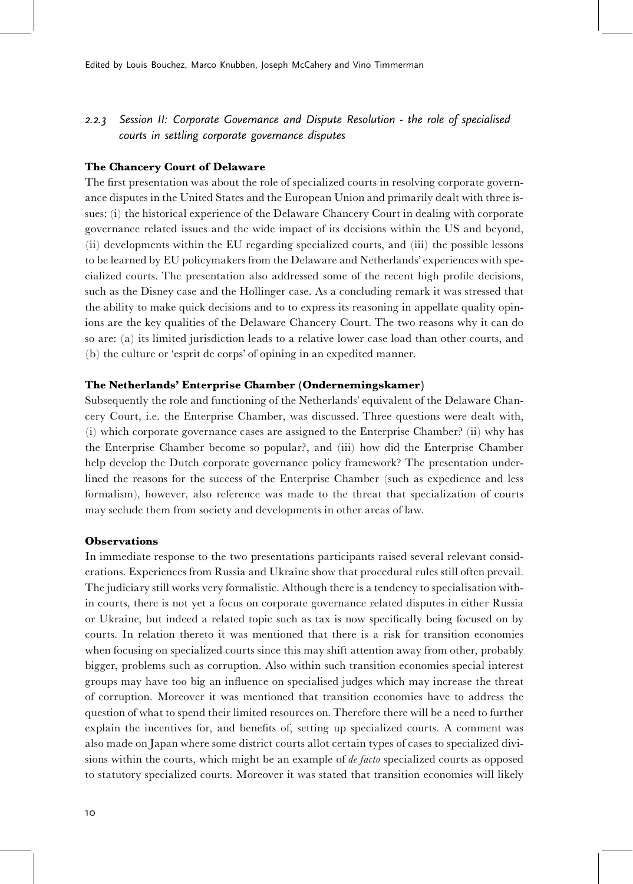# 2.2.3 Session II: Corporate Governance and Dispute Resolution - the role of specialised courts in settling corporate governance disputes

### The Chancery Court of Delaware

The first presentation was about the role of specialized courts in resolving corporate governance disputes in the United States and the European Union and primarily dealt with three issues: (i) the historical experience of the Delaware Chancery Court in dealing with corporate governance related issues and the wide impact of its decisions within the US and beyond, (ii) developments within the EU regarding specialized courts, and (iii) the possible lessons to be learned by EU policymakers from the Delaware and Netherlands' experiences with specialized courts. The presentation also addressed some of the recent high profile decisions, such as the Disney case and the Hollinger case. As a concluding remark it was stressed that the ability to make quick decisions and to to express its reasoning in appellate quality opinions are the key qualities of the Delaware Chancery Court. The two reasons why it can do so are: (a) its limited jurisdiction leads to a relative lower case load than other courts, and (b) the culture or 'esprit de corps' of opining in an expedited manner.

### The Netherlands' Enterprise Chamber (Ondernemingskamer)

Subsequently the role and functioning of the Netherlands' equivalent of the Delaware Chancery Court, i.e. the Enterprise Chamber, was discussed. Three questions were dealt with, (i) which corporate governance cases are assigned to the Enterprise Chamber? (ii) why has the Enterprise Chamber become so popular?, and (iii) how did the Enterprise Chamber help develop the Dutch corporate governance policy framework? The presentation underlined the reasons for the success of the Enterprise Chamber (such as expedience and less formalism), however, also reference was made to the threat that specialization of courts may seclude them from society and developments in other areas of law.

#### **Observations**

In immediate response to the two presentations participants raised several relevant considerations. Experiences from Russia and Ukraine show that procedural rules still often prevail. The judiciary still works very formalistic. Although there is a tendency to specialisation within courts, there is not yet a focus on corporate governance related disputes in either Russia or Ukraine, but indeed a related topic such as tax is now specifically being focused on by courts. In relation thereto it was mentioned that there is a risk for transition economies when focusing on specialized courts since this may shift attention away from other, probably bigger, problems such as corruption. Also within such transition economies special interest groups may have too big an influence on specialised judges which may increase the threat of corruption. Moreover it was mentioned that transition economies have to address the question of what to spend their limited resources on. Therefore there will be a need to further explain the incentives for, and benefits of, setting up specialized courts. A comment was also made on Japan where some district courts allot certain types of cases to specialized divisions within the courts, which might be an example of *de facto* specialized courts as opposed to statutory specialized courts. Moreover it was stated that transition economies will likely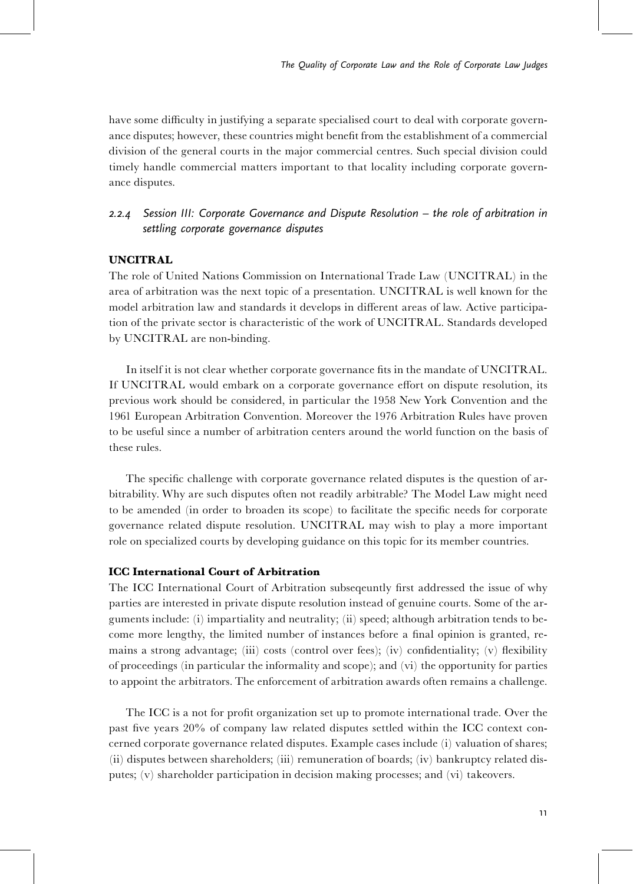have some difficulty in justifying a separate specialised court to deal with corporate governance disputes; however, these countries might benefit from the establishment of a commercial division of the general courts in the major commercial centres. Such special division could timely handle commercial matters important to that locality including corporate governance disputes.

# 2.2.4 Session III: Corporate Governance and Dispute Resolution – the role of arbitration in settling corporate governance disputes

# UNCITRAL

The role of United Nations Commission on International Trade Law (UNCITRAL) in the area of arbitration was the next topic of a presentation. UNCITRAL is well known for the model arbitration law and standards it develops in different areas of law. Active participation of the private sector is characteristic of the work of UNCITRAL. Standards developed by UNCITRAL are non-binding.

In itself it is not clear whether corporate governance fits in the mandate of UNCITRAL. If UNCITRAL would embark on a corporate governance effort on dispute resolution, its previous work should be considered, in particular the 1958 New York Convention and the 1961 European Arbitration Convention. Moreover the 1976 Arbitration Rules have proven to be useful since a number of arbitration centers around the world function on the basis of these rules.

The specific challenge with corporate governance related disputes is the question of arbitrability. Why are such disputes often not readily arbitrable? The Model Law might need to be amended (in order to broaden its scope) to facilitate the specific needs for corporate governance related dispute resolution. UNCITRAL may wish to play a more important role on specialized courts by developing guidance on this topic for its member countries.

## ICC International Court of Arbitration

The ICC International Court of Arbitration subsequently first addressed the issue of why parties are interested in private dispute resolution instead of genuine courts. Some of the arguments include: (i) impartiality and neutrality; (ii) speed; although arbitration tends to become more lengthy, the limited number of instances before a final opinion is granted, remains a strong advantage; (iii) costs (control over fees); (iv) confidentiality; (v) flexibility of proceedings (in particular the informality and scope); and (vi) the opportunity for parties to appoint the arbitrators. The enforcement of arbitration awards often remains a challenge.

The ICC is a not for profit organization set up to promote international trade. Over the past five years  $20\%$  of company law related disputes settled within the ICC context concerned corporate governance related disputes. Example cases include (i) valuation of shares;  $(iii)$  disputes between shareholders;  $(iii)$  remuneration of boards;  $(iv)$  bankruptcy related disputes; (v) shareholder participation in decision making processes; and (vi) takeovers.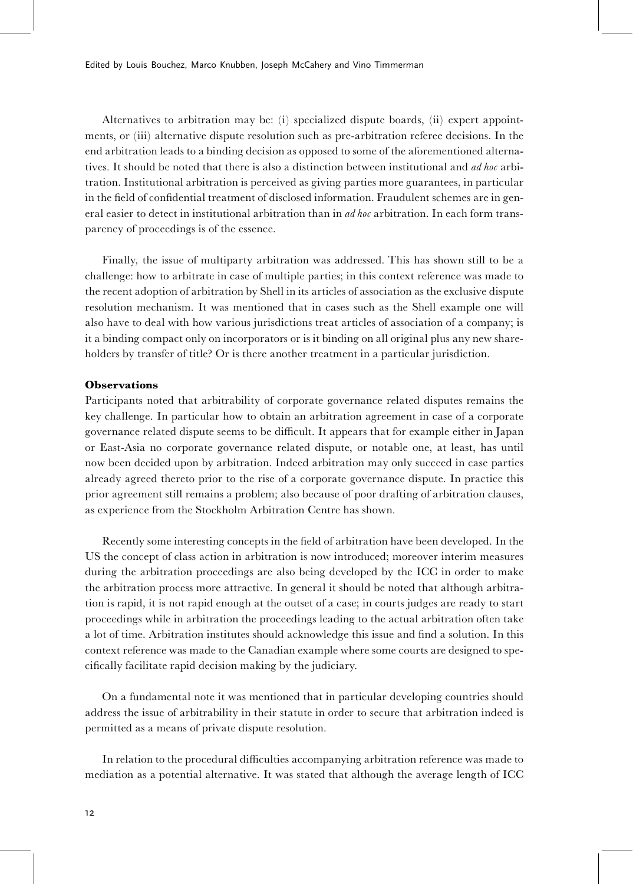Alternatives to arbitration may be: (i) specialized dispute boards, (ii) expert appointments, or (iii) alternative dispute resolution such as pre-arbitration referee decisions. In the end arbitration leads to a binding decision as opposed to some of the aforementioned alternatives. It should be noted that there is also a distinction between institutional and *ad hoc* arbitration. Institutional arbitration is perceived as giving parties more guarantees, in particular in the field of confidential treatment of disclosed information. Fraudulent schemes are in general easier to detect in institutional arbitration than in *ad hoc* arbitration. In each form transparency of proceedings is of the essence.

Finally, the issue of multiparty arbitration was addressed. This has shown still to be a challenge: how to arbitrate in case of multiple parties; in this context reference was made to the recent adoption of arbitration by Shell in its articles of association as the exclusive dispute resolution mechanism. It was mentioned that in cases such as the Shell example one will also have to deal with how various jurisdictions treat articles of association of a company; is it a binding compact only on incorporators or is it binding on all original plus any new shareholders by transfer of title? Or is there another treatment in a particular jurisdiction.

### **Observations**

Participants noted that arbitrability of corporate governance related disputes remains the key challenge. In particular how to obtain an arbitration agreement in case of a corporate governance related dispute seems to be difficult. It appears that for example either in Japan or East-Asia no corporate governance related dispute, or notable one, at least, has until now been decided upon by arbitration. Indeed arbitration may only succeed in case parties already agreed thereto prior to the rise of a corporate governance dispute. In practice this prior agreement still remains a problem; also because of poor drafting of arbitration clauses, as experience from the Stockholm Arbitration Centre has shown.

Recently some interesting concepts in the field of arbitration have been developed. In the US the concept of class action in arbitration is now introduced; moreover interim measures during the arbitration proceedings are also being developed by the ICC in order to make the arbitration process more attractive. In general it should be noted that although arbitration is rapid, it is not rapid enough at the outset of a case; in courts judges are ready to start proceedings while in arbitration the proceedings leading to the actual arbitration often take a lot of time. Arbitration institutes should acknowledge this issue and find a solution. In this context reference was made to the Canadian example where some courts are designed to specifically facilitate rapid decision making by the judiciary.

On a fundamental note it was mentioned that in particular developing countries should address the issue of arbitrability in their statute in order to secure that arbitration indeed is permitted as a means of private dispute resolution.

In relation to the procedural difficulties accompanying arbitration reference was made to mediation as a potential alternative. It was stated that although the average length of ICC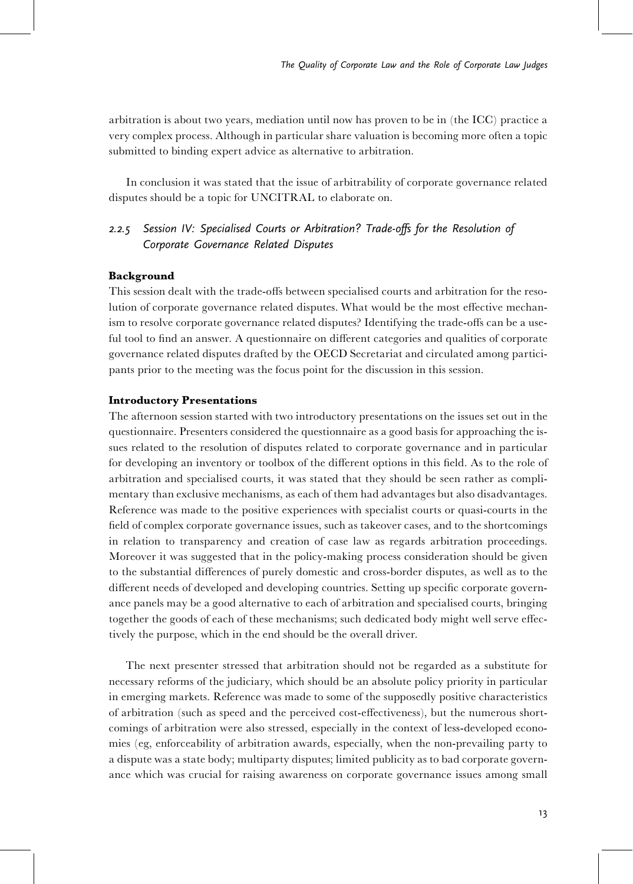arbitration is about two years, mediation until now has proven to be in (the ICC) practice a very complex process. Although in particular share valuation is becoming more often a topic submitted to binding expert advice as alternative to arbitration.

In conclusion it was stated that the issue of arbitrability of corporate governance related disputes should be a topic for UNCITRAL to elaborate on.

# 2.2.5 Session IV: Specialised Courts or Arbitration? Trade-offs for the Resolution of Corporate Governance Related Disputes

### Background

This session dealt with the trade-offs between specialised courts and arbitration for the resolution of corporate governance related disputes. What would be the most effective mechanism to resolve corporate governance related disputes? Identifying the trade-offs can be a useful tool to find an answer. A questionnaire on different categories and qualities of corporate governance related disputes drafted by the OECD Secretariat and circulated among participants prior to the meeting was the focus point for the discussion in this session.

### Introductory Presentations

The afternoon session started with two introductory presentations on the issues set out in the questionnaire. Presenters considered the questionnaire as a good basis for approaching the issues related to the resolution of disputes related to corporate governance and in particular for developing an inventory or toolbox of the different options in this field. As to the role of arbitration and specialised courts, it was stated that they should be seen rather as complimentary than exclusive mechanisms, as each of them had advantages but also disadvantages. Reference was made to the positive experiences with specialist courts or quasi-courts in the field of complex corporate governance issues, such as takeover cases, and to the shortcomings in relation to transparency and creation of case law as regards arbitration proceedings. Moreover it was suggested that in the policy-making process consideration should be given to the substantial differences of purely domestic and cross-border disputes, as well as to the different needs of developed and developing countries. Setting up specific corporate governance panels may be a good alternative to each of arbitration and specialised courts, bringing together the goods of each of these mechanisms; such dedicated body might well serve effectively the purpose, which in the end should be the overall driver.

The next presenter stressed that arbitration should not be regarded as a substitute for necessary reforms of the judiciary, which should be an absolute policy priority in particular in emerging markets. Reference was made to some of the supposedly positive characteristics of arbitration (such as speed and the perceived cost-effectiveness), but the numerous shortcomings of arbitration were also stressed, especially in the context of less-developed economies (eg, enforceability of arbitration awards, especially, when the non-prevailing party to a dispute was a state body; multiparty disputes; limited publicity as to bad corporate governance which was crucial for raising awareness on corporate governance issues among small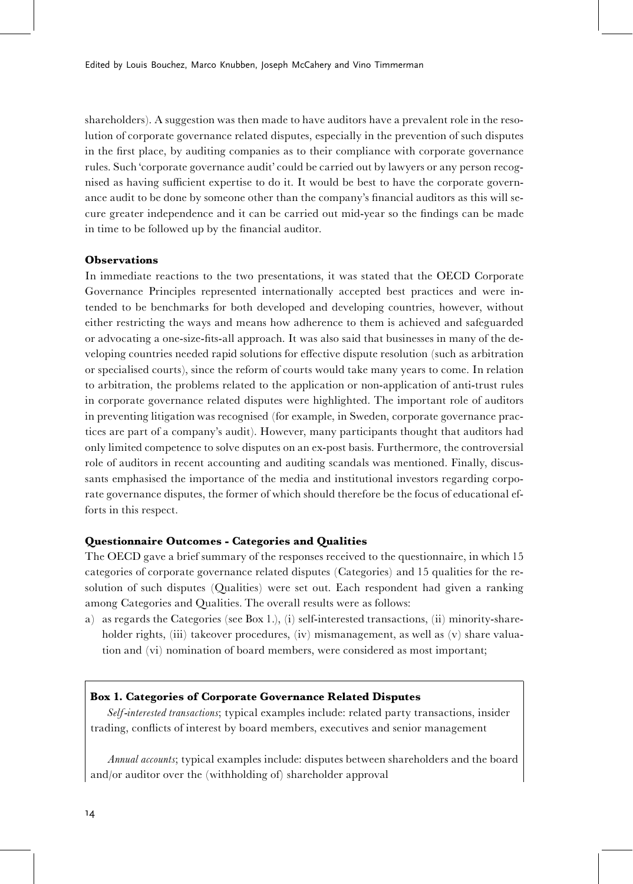shareholders). A suggestion was then made to have auditors have a prevalent role in the resolution of corporate governance related disputes, especially in the prevention of such disputes in the first place, by auditing companies as to their compliance with corporate governance rules. Such 'corporate governance audit' could be carried out by lawyers or any person recognised as having sufficient expertise to do it. It would be best to have the corporate governance audit to be done by someone other than the company's financial auditors as this will secure greater independence and it can be carried out mid-year so the findings can be made in time to be followed up by the financial auditor.

## **Observations**

In immediate reactions to the two presentations, it was stated that the OECD Corporate Governance Principles represented internationally accepted best practices and were intended to be benchmarks for both developed and developing countries, however, without either restricting the ways and means how adherence to them is achieved and safeguarded or advocating a one-size-fits-all approach. It was also said that businesses in many of the developing countries needed rapid solutions for effective dispute resolution (such as arbitration or specialised courts), since the reform of courts would take many years to come. In relation to arbitration, the problems related to the application or non-application of anti-trust rules in corporate governance related disputes were highlighted. The important role of auditors in preventing litigation was recognised (for example, in Sweden, corporate governance practices are part of a company's audit). However, many participants thought that auditors had only limited competence to solve disputes on an ex-post basis. Furthermore, the controversial role of auditors in recent accounting and auditing scandals was mentioned. Finally, discussants emphasised the importance of the media and institutional investors regarding corporate governance disputes, the former of which should therefore be the focus of educational efforts in this respect.

#### Questionnaire Outcomes - Categories and Qualities

The OECD gave a brief summary of the responses received to the questionnaire, in which 15 categories of corporate governance related disputes (Categories) and 15 qualities for the resolution of such disputes (Qualities) were set out. Each respondent had given a ranking among Categories and Qualities. The overall results were as follows:

a) as regards the Categories (see Box 1.), (i) self-interested transactions, (ii) minority-shareholder rights, (iii) takeover procedures, (iv) mismanagement, as well as (v) share valuation and (vi) nomination of board members, were considered as most important;

### Box 1. Categories of Corporate Governance Related Disputes

Self-interested transactions; typical examples include: related party transactions, insider trading, conflicts of interest by board members, executives and senior management

Annual accounts; typical examples include: disputes between shareholders and the board and/or auditor over the (withholding of) shareholder approval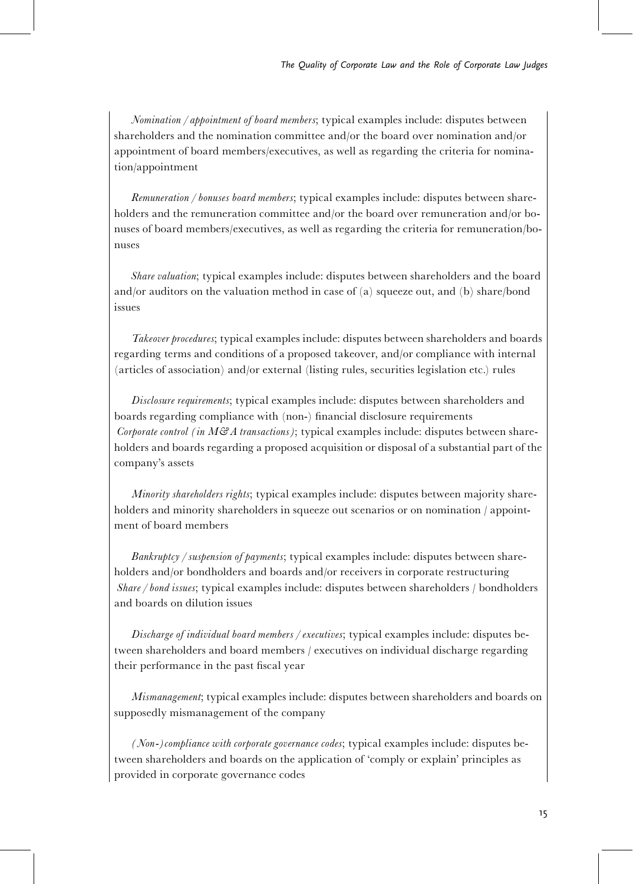Nomination / appointment of board members; typical examples include: disputes between shareholders and the nomination committee and/or the board over nomination and/or appointment of board members/executives, as well as regarding the criteria for nomination/appointment

Remuneration / bonuses board members; typical examples include: disputes between shareholders and the remuneration committee and/or the board over remuneration and/or bonuses of board members/executives, as well as regarding the criteria for remuneration/bonuses

Share valuation; typical examples include: disputes between shareholders and the board and/or auditors on the valuation method in case of (a) squeeze out, and (b) share/bond issues

Takeover procedures; typical examples include: disputes between shareholders and boards regarding terms and conditions of a proposed takeover, and/or compliance with internal (articles of association) and/or external (listing rules, securities legislation etc.) rules

Disclosure requirements; typical examples include: disputes between shareholders and boards regarding compliance with (non-) financial disclosure requirements Corporate control (in  $M\mathcal{B}$  atransactions); typical examples include: disputes between shareholders and boards regarding a proposed acquisition or disposal of a substantial part of the company's assets

*Minority shareholders rights*; typical examples include: disputes between majority shareholders and minority shareholders in squeeze out scenarios or on nomination / appointment of board members

Bankruptcy / suspension of payments; typical examples include: disputes between shareholders and/or bondholders and boards and/or receivers in corporate restructuring Share / bond issues; typical examples include: disputes between shareholders / bondholders and boards on dilution issues

Discharge of individual board members / executives; typical examples include: disputes between shareholders and board members / executives on individual discharge regarding their performance in the past fiscal year

Mismanagement; typical examples include: disputes between shareholders and boards on supposedly mismanagement of the company

(Non-)compliance with corporate governance codes; typical examples include: disputes between shareholders and boards on the application of 'comply or explain' principles as provided in corporate governance codes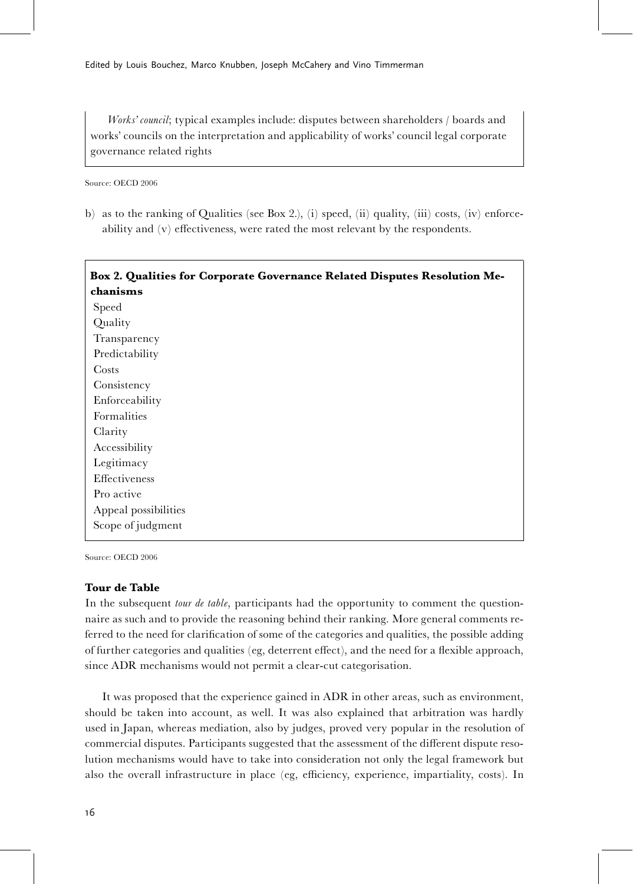Works' council; typical examples include: disputes between shareholders / boards and works' councils on the interpretation and applicability of works' council legal corporate governance related rights

Source: OECD 2006

b) as to the ranking of Qualities (see Box 2.), (i) speed, (ii) quality, (iii) costs, (iv) enforceability and  $(v)$  effectiveness, were rated the most relevant by the respondents.

| Box 2. Qualities for Corporate Governance Related Disputes Resolution Me- |
|---------------------------------------------------------------------------|
| chanisms                                                                  |
| Speed                                                                     |
| Quality                                                                   |
| Transparency                                                              |
| Predictability                                                            |
| Costs                                                                     |
| Consistency                                                               |
| Enforceability                                                            |
| Formalities                                                               |
| Clarity                                                                   |
| Accessibility                                                             |
| Legitimacy                                                                |
| Effectiveness                                                             |
| Pro active                                                                |
| Appeal possibilities                                                      |
| Scope of judgment                                                         |
|                                                                           |

Source: OECD 2006

### Tour de Table

In the subsequent *tour de table*, participants had the opportunity to comment the questionnaire as such and to provide the reasoning behind their ranking. More general comments referred to the need for clarification of some of the categories and qualities, the possible adding of further categories and qualities (eg, deterrent effect), and the need for a flexible approach, since ADR mechanisms would not permit a clear-cut categorisation.

It was proposed that the experience gained in ADR in other areas, such as environment, should be taken into account, as well. It was also explained that arbitration was hardly used in Japan, whereas mediation, also by judges, proved very popular in the resolution of commercial disputes. Participants suggested that the assessment of the different dispute resolution mechanisms would have to take into consideration not only the legal framework but also the overall infrastructure in place (eg, efficiency, experience, impartiality, costs). In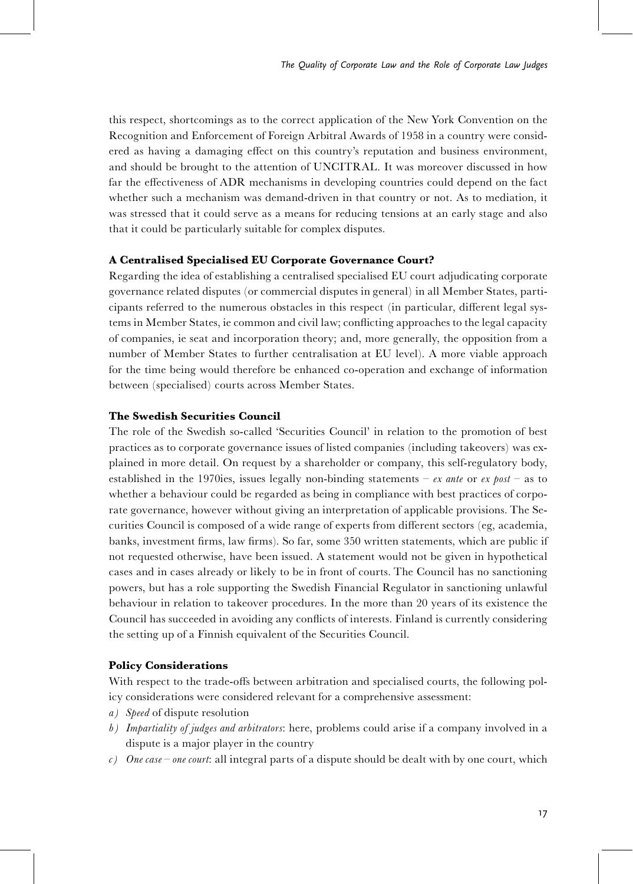this respect, shortcomings as to the correct application of the New York Convention on the Recognition and Enforcement of Foreign Arbitral Awards of 1958 in a country were considered as having a damaging effect on this country's reputation and business environment, and should be brought to the attention of UNCITRAL. It was moreover discussed in how far the effectiveness of ADR mechanisms in developing countries could depend on the fact whether such a mechanism was demand-driven in that country or not. As to mediation, it was stressed that it could serve as a means for reducing tensions at an early stage and also that it could be particularly suitable for complex disputes.

### A Centralised Specialised EU Corporate Governance Court?

Regarding the idea of establishing a centralised specialised EU court adjudicating corporate governance related disputes (or commercial disputes in general) in all Member States, participants referred to the numerous obstacles in this respect (in particular, different legal systems in Member States, ie common and civil law; conflicting approaches to the legal capacity of companies, ie seat and incorporation theory; and, more generally, the opposition from a number of Member States to further centralisation at EU level). A more viable approach for the time being would therefore be enhanced co-operation and exchange of information between (specialised) courts across Member States.

## The Swedish Securities Council

The role of the Swedish so-called 'Securities Council' in relation to the promotion of best practices as to corporate governance issues of listed companies (including takeovers) was explained in more detail. On request by a shareholder or company, this self-regulatory body, established in the 1970ies, issues legally non-binding statements  $- e*x*$  ante or ex post  $-$  as to whether a behaviour could be regarded as being in compliance with best practices of corporate governance, however without giving an interpretation of applicable provisions. The Securities Council is composed of a wide range of experts from different sectors (eg, academia, banks, investment firms, law firms). So far, some 350 written statements, which are public if not requested otherwise, have been issued. A statement would not be given in hypothetical cases and in cases already or likely to be in front of courts. The Council has no sanctioning powers, but has a role supporting the Swedish Financial Regulator in sanctioning unlawful behaviour in relation to takeover procedures. In the more than 20 years of its existence the Council has succeeded in avoiding any conflicts of interests. Finland is currently considering the setting up of a Finnish equivalent of the Securities Council.

### Policy Considerations

With respect to the trade-offs between arbitration and specialised courts, the following policy considerations were considered relevant for a comprehensive assessment:

- a) Speed of dispute resolution
- b) Impartiality of judges and arbitrators: here, problems could arise if a company involved in a dispute is a major player in the country
- c) One case one court: all integral parts of a dispute should be dealt with by one court, which